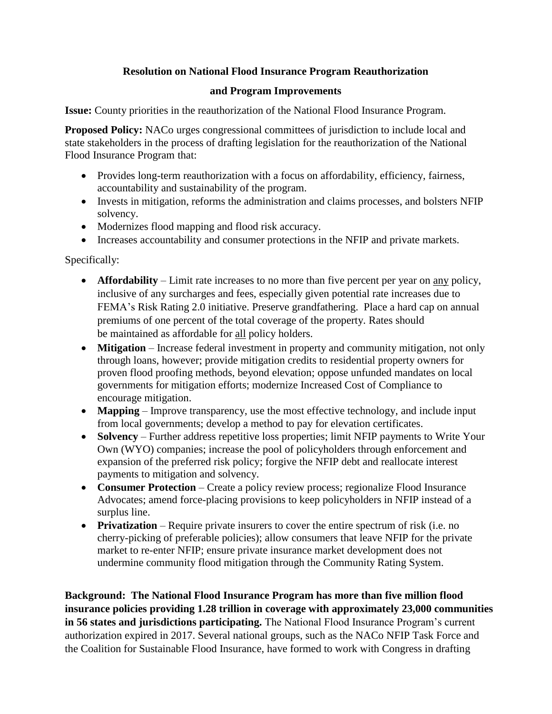## **Resolution on National Flood Insurance Program Reauthorization**

## **and Program Improvements**

**Issue:** County priorities in the reauthorization of the National Flood Insurance Program.

**Proposed Policy:** NACo urges congressional committees of jurisdiction to include local and state stakeholders in the process of drafting legislation for the reauthorization of the National Flood Insurance Program that:

- Provides long-term reauthorization with a focus on affordability, efficiency, fairness, accountability and sustainability of the program.
- Invests in mitigation, reforms the administration and claims processes, and bolsters NFIP solvency.
- Modernizes flood mapping and flood risk accuracy.
- Increases accountability and consumer protections in the NFIP and private markets.

Specifically:

- **Affordability** Limit rate increases to no more than five percent per year on <u>any</u> policy, inclusive of any surcharges and fees, especially given potential rate increases due to FEMA's Risk Rating 2.0 initiative. Preserve grandfathering. Place a hard cap on annual premiums of one percent of the total coverage of the property. Rates should be maintained as affordable for all policy holders.
- **Mitigation** Increase federal investment in property and community mitigation, not only through loans, however; provide mitigation credits to residential property owners for proven flood proofing methods, beyond elevation; oppose unfunded mandates on local governments for mitigation efforts; modernize Increased Cost of Compliance to encourage mitigation.
- **Mapping** Improve transparency, use the most effective technology, and include input from local governments; develop a method to pay for elevation certificates.
- **Solvency** Further address repetitive loss properties; limit NFIP payments to Write Your Own (WYO) companies; increase the pool of policyholders through enforcement and expansion of the preferred risk policy; forgive the NFIP debt and reallocate interest payments to mitigation and solvency.
- **Consumer Protection** Create a policy review process; regionalize Flood Insurance Advocates; amend force-placing provisions to keep policyholders in NFIP instead of a surplus line.
- **Privatization** Require private insurers to cover the entire spectrum of risk (i.e. no cherry-picking of preferable policies); allow consumers that leave NFIP for the private market to re-enter NFIP; ensure private insurance market development does not undermine community flood mitigation through the Community Rating System.

**Background: The National Flood Insurance Program has more than five million flood insurance policies providing 1.28 trillion in coverage with approximately 23,000 communities in 56 states and jurisdictions participating.** The National Flood Insurance Program's current authorization expired in 2017. Several national groups, such as the NACo NFIP Task Force and the Coalition for Sustainable Flood Insurance, have formed to work with Congress in drafting